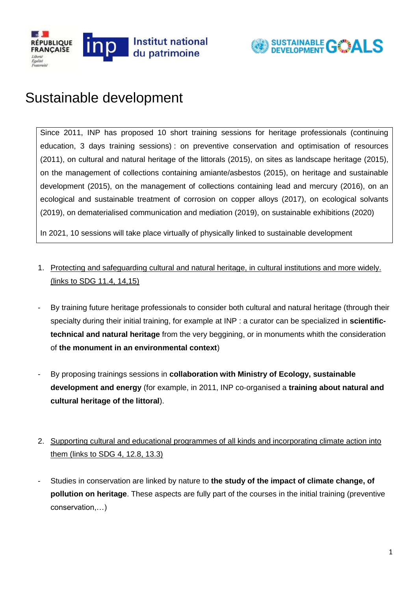



## Sustainable development

Since 2011, INP has proposed 10 short training sessions for heritage professionals (continuing education, 3 days training sessions) : on preventive conservation and optimisation of resources (2011), on cultural and natural heritage of the littorals (2015), on sites as landscape heritage (2015), on the management of collections containing amiante/asbestos (2015), on heritage and sustainable development (2015), on the management of collections containing lead and mercury (2016), on an ecological and sustainable treatment of corrosion on copper alloys (2017), on ecological solvants (2019), on dematerialised communication and mediation (2019), on sustainable exhibitions (2020)

In 2021, 10 sessions will take place virtually of physically linked to sustainable development

- 1. Protecting and safeguarding cultural and natural heritage, in cultural institutions and more widely. (links to SDG 11.4, 14,15)
- By training future heritage professionals to consider both cultural and natural heritage (through their specialty during their initial training, for example at INP : a curator can be specialized in **scientifictechnical and natural heritage** from the very beggining, or in monuments whith the consideration of **the monument in an environmental context**)
- By proposing trainings sessions in **collaboration with Ministry of Ecology, sustainable development and energy** (for example, in 2011, INP co-organised a **training about natural and cultural heritage of the littoral**).
- 2. Supporting cultural and educational programmes of all kinds and incorporating climate action into them (links to SDG 4, 12.8, 13.3)
- Studies in conservation are linked by nature to **the study of the impact of climate change, of pollution on heritage**. These aspects are fully part of the courses in the initial training (preventive conservation,…)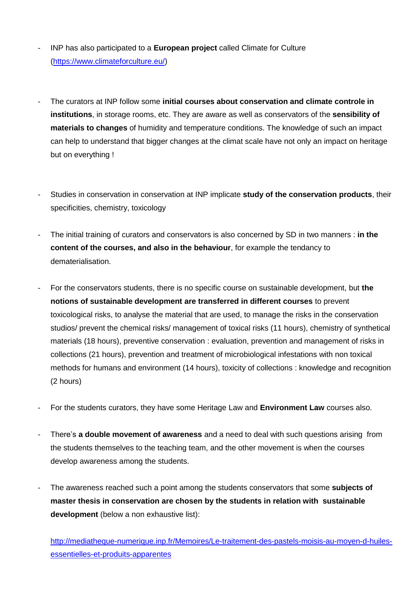- INP has also participated to a **European project** called Climate for Culture [\(https://www.climateforculture.eu/\)](https://www.climateforculture.eu/)
- The curators at INP follow some **initial courses about conservation and climate controle in institutions**, in storage rooms, etc. They are aware as well as conservators of the **sensibility of materials to changes** of humidity and temperature conditions. The knowledge of such an impact can help to understand that bigger changes at the climat scale have not only an impact on heritage but on everything !
- Studies in conservation in conservation at INP implicate **study of the conservation products**, their specificities, chemistry, toxicology
- The initial training of curators and conservators is also concerned by SD in two manners : **in the content of the courses, and also in the behaviour**, for example the tendancy to dematerialisation.
- For the conservators students, there is no specific course on sustainable development, but **the notions of sustainable development are transferred in different courses** to prevent toxicological risks, to analyse the material that are used, to manage the risks in the conservation studios/ prevent the chemical risks/ management of toxical risks (11 hours), chemistry of synthetical materials (18 hours), preventive conservation : evaluation, prevention and management of risks in collections (21 hours), prevention and treatment of microbiological infestations with non toxical methods for humans and environment (14 hours), toxicity of collections : knowledge and recognition (2 hours)
- For the students curators, they have some Heritage Law and **Environment Law** courses also.
- There's **a double movement of awareness** and a need to deal with such questions arising from the students themselves to the teaching team, and the other movement is when the courses develop awareness among the students.
- The awareness reached such a point among the students conservators that some **subjects of master thesis in conservation are chosen by the students in relation with sustainable development** (below a non exhaustive list):

[http://mediatheque-numerique.inp.fr/Memoires/Le-traitement-des-pastels-moisis-au-moyen-d-huiles](http://mediatheque-numerique.inp.fr/Memoires/Le-traitement-des-pastels-moisis-au-moyen-d-huiles-essentielles-et-produits-apparentes)[essentielles-et-produits-apparentes](http://mediatheque-numerique.inp.fr/Memoires/Le-traitement-des-pastels-moisis-au-moyen-d-huiles-essentielles-et-produits-apparentes)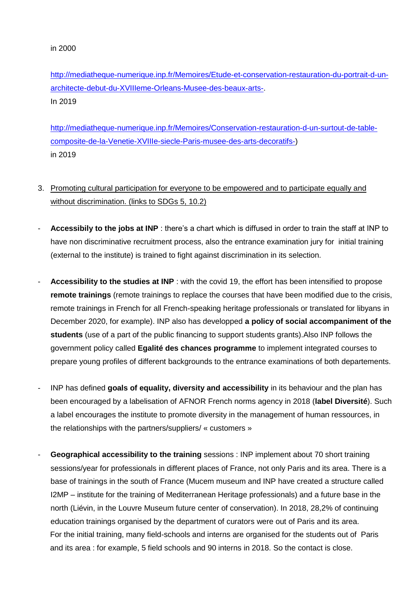[http://mediatheque-numerique.inp.fr/Memoires/Etude-et-conservation-restauration-du-portrait-d-un](http://mediatheque-numerique.inp.fr/Memoires/Etude-et-conservation-restauration-du-portrait-d-un-architecte-debut-du-XVIIIeme-Orleans-Musee-des-beaux-arts-)[architecte-debut-du-XVIIIeme-Orleans-Musee-des-beaux-arts-.](http://mediatheque-numerique.inp.fr/Memoires/Etude-et-conservation-restauration-du-portrait-d-un-architecte-debut-du-XVIIIeme-Orleans-Musee-des-beaux-arts-) In 2019

[http://mediatheque-numerique.inp.fr/Memoires/Conservation-restauration-d-un-surtout-de-table](http://mediatheque-numerique.inp.fr/Memoires/Conservation-restauration-d-un-surtout-de-table-composite-de-la-Venetie-XVIIIe-siecle-Paris-musee-des-arts-decoratifs-)[composite-de-la-Venetie-XVIIIe-siecle-Paris-musee-des-arts-decoratifs-\)](http://mediatheque-numerique.inp.fr/Memoires/Conservation-restauration-d-un-surtout-de-table-composite-de-la-Venetie-XVIIIe-siecle-Paris-musee-des-arts-decoratifs-) in 2019

## 3. Promoting cultural participation for everyone to be empowered and to participate equally and without discrimination. (links to SDGs 5, 10.2)

- Accessibily to the jobs at INP : there's a chart which is diffused in order to train the staff at INP to have non discriminative recruitment process, also the entrance examination jury for initial training (external to the institute) is trained to fight against discrimination in its selection.
- Accessibility to the studies at INP : with the covid 19, the effort has been intensified to propose **remote trainings** (remote trainings to replace the courses that have been modified due to the crisis, remote trainings in French for all French-speaking heritage professionals or translated for libyans in December 2020, for example). INP also has developped **a policy of social accompaniment of the students** (use of a part of the public financing to support students grants).Also INP follows the government policy called **Egalité des chances programme** to implement integrated courses to prepare young profiles of different backgrounds to the entrance examinations of both departements.
- INP has defined **goals of equality, diversity and accessibility** in its behaviour and the plan has been encouraged by a labelisation of AFNOR French norms agency in 2018 (**label Diversité**). Such a label encourages the institute to promote diversity in the management of human ressources, in the relationships with the partners/suppliers/ « customers »
- **Geographical accessibility to the training** sessions : INP implement about 70 short training sessions/year for professionals in different places of France, not only Paris and its area. There is a base of trainings in the south of France (Mucem museum and INP have created a structure called I2MP – institute for the training of Mediterranean Heritage professionals) and a future base in the north (Liévin, in the Louvre Museum future center of conservation). In 2018, 28,2% of continuing education trainings organised by the department of curators were out of Paris and its area. For the initial training, many field-schools and interns are organised for the students out of Paris and its area : for example, 5 field schools and 90 interns in 2018. So the contact is close.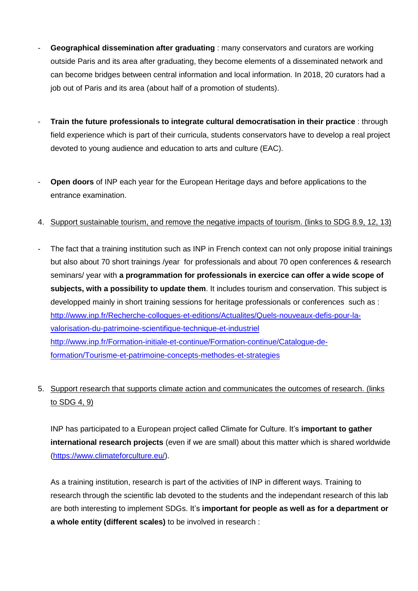- **Geographical dissemination after graduating** : many conservators and curators are working outside Paris and its area after graduating, they become elements of a disseminated network and can become bridges between central information and local information. In 2018, 20 curators had a job out of Paris and its area (about half of a promotion of students).
- **Train the future professionals to integrate cultural democratisation in their practice** : through field experience which is part of their curricula, students conservators have to develop a real project devoted to young audience and education to arts and culture (EAC).
- **Open doors** of INP each year for the European Heritage days and before applications to the entrance examination.
- 4. Support sustainable tourism, and remove the negative impacts of tourism. (links to SDG 8.9, 12, 13)
- The fact that a training institution such as INP in French context can not only propose initial trainings but also about 70 short trainings /year for professionals and about 70 open conferences & research seminars/ year with **a programmation for professionals in exercice can offer a wide scope of subjects, with a possibility to update them**. It includes tourism and conservation. This subject is developped mainly in short training sessions for heritage professionals or conferences such as : [http://www.inp.fr/Recherche-colloques-et-editions/Actualites/Quels-nouveaux-defis-pour-la](http://www.inp.fr/Recherche-colloques-et-editions/Actualites/Quels-nouveaux-defis-pour-la-valorisation-du-patrimoine-scientifique-technique-et-industriel)[valorisation-du-patrimoine-scientifique-technique-et-industriel](http://www.inp.fr/Recherche-colloques-et-editions/Actualites/Quels-nouveaux-defis-pour-la-valorisation-du-patrimoine-scientifique-technique-et-industriel) [http://www.inp.fr/Formation-initiale-et-continue/Formation-continue/Catalogue-de](http://www.inp.fr/Formation-initiale-et-continue/Formation-continue/Catalogue-de-formation/Tourisme-et-patrimoine-concepts-methodes-et-strategies)[formation/Tourisme-et-patrimoine-concepts-methodes-et-strategies](http://www.inp.fr/Formation-initiale-et-continue/Formation-continue/Catalogue-de-formation/Tourisme-et-patrimoine-concepts-methodes-et-strategies)
- 5. Support research that supports climate action and communicates the outcomes of research. (links to SDG 4, 9)

INP has participated to a European project called Climate for Culture. It's **important to gather international research projects** (even if we are small) about this matter which is shared worldwide [\(https://www.climateforculture.eu/\)](https://www.climateforculture.eu/).

As a training institution, research is part of the activities of INP in different ways. Training to research through the scientific lab devoted to the students and the independant research of this lab are both interesting to implement SDGs. It's **important for people as well as for a department or a whole entity (different scales)** to be involved in research :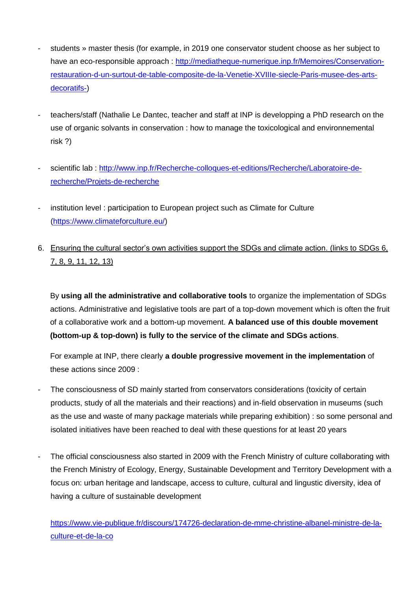- students » master thesis (for example, in 2019 one conservator student choose as her subject to have an eco-responsible approach : [http://mediatheque-numerique.inp.fr/Memoires/Conservation](http://mediatheque-numerique.inp.fr/Memoires/Conservation-restauration-d-un-surtout-de-table-composite-de-la-Venetie-XVIIIe-siecle-Paris-musee-des-arts-decoratifs-)[restauration-d-un-surtout-de-table-composite-de-la-Venetie-XVIIIe-siecle-Paris-musee-des-arts](http://mediatheque-numerique.inp.fr/Memoires/Conservation-restauration-d-un-surtout-de-table-composite-de-la-Venetie-XVIIIe-siecle-Paris-musee-des-arts-decoratifs-)[decoratifs-\)](http://mediatheque-numerique.inp.fr/Memoires/Conservation-restauration-d-un-surtout-de-table-composite-de-la-Venetie-XVIIIe-siecle-Paris-musee-des-arts-decoratifs-)
- teachers/staff (Nathalie Le Dantec, teacher and staff at INP is developping a PhD research on the use of organic solvants in conservation : how to manage the toxicological and environnemental risk ?)
- scientific lab : [http://www.inp.fr/Recherche-colloques-et-editions/Recherche/Laboratoire-de](http://www.inp.fr/Recherche-colloques-et-editions/Recherche/Laboratoire-de-recherche/Projets-de-recherche)[recherche/Projets-de-recherche](http://www.inp.fr/Recherche-colloques-et-editions/Recherche/Laboratoire-de-recherche/Projets-de-recherche)
- institution level : participation to European project such as Climate for Culture [\(https://www.climateforculture.eu/\)](https://www.climateforculture.eu/)
- 6. Ensuring the cultural sector's own activities support the SDGs and climate action. (links to SDGs 6, 7, 8, 9, 11, 12, 13)

By **using all the administrative and collaborative tools** to organize the implementation of SDGs actions. Administrative and legislative tools are part of a top-down movement which is often the fruit of a collaborative work and a bottom-up movement. **A balanced use of this double movement (bottom-up & top-down) is fully to the service of the climate and SDGs actions**.

For example at INP, there clearly **a double progressive movement in the implementation** of these actions since 2009 :

- The consciousness of SD mainly started from conservators considerations (toxicity of certain products, study of all the materials and their reactions) and in-field observation in museums (such as the use and waste of many package materials while preparing exhibition) : so some personal and isolated initiatives have been reached to deal with these questions for at least 20 years
- The official consciousness also started in 2009 with the French Ministry of culture collaborating with the French Ministry of Ecology, Energy, Sustainable Development and Territory Development with a focus on: urban heritage and landscape, access to culture, cultural and lingustic diversity, idea of having a culture of sustainable development

[https://www.vie-publique.fr/discours/174726-declaration-de-mme-christine-albanel-ministre-de-la](https://www.vie-publique.fr/discours/174726-declaration-de-mme-christine-albanel-ministre-de-la-culture-et-de-la-co)[culture-et-de-la-co](https://www.vie-publique.fr/discours/174726-declaration-de-mme-christine-albanel-ministre-de-la-culture-et-de-la-co)